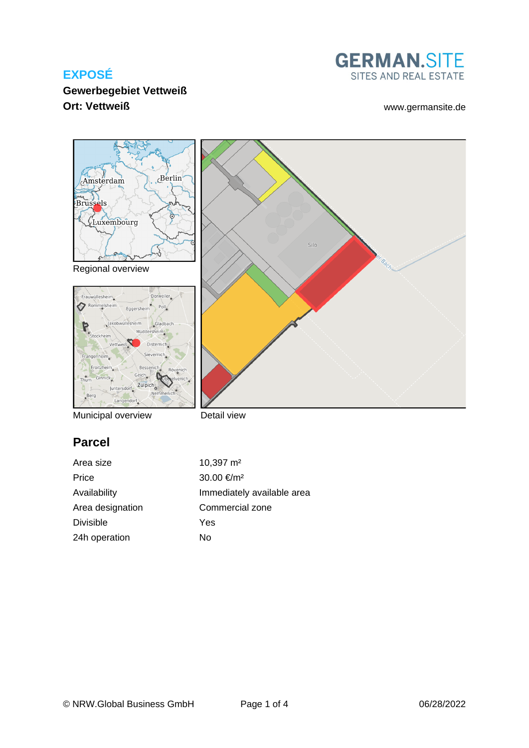

#### **Gewerbegebiet Vettweiß Ort: Vettweiß** [www.germansite.de](http://www.germansite.de)



Detail view

# **Parcel**

Area size 10,397 m<sup>2</sup> Price  $30.00 \text{ } \infty$ /m<sup>2</sup> Availability **Immediately** available area Area designation Commercial zone Divisible Yes 24h operation No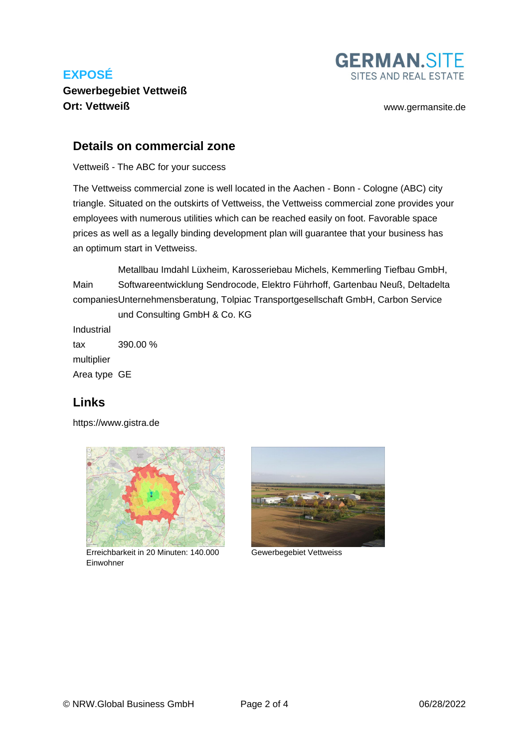

**Gewerbegebiet Vettweiß Ort: Vettweiß** [www.germansite.de](http://www.germansite.de)

#### **Details on commercial zone**

Vettweiß - The ABC for your success

The Vettweiss commercial zone is well located in the Aachen - Bonn - Cologne (ABC) city triangle. Situated on the outskirts of Vettweiss, the Vettweiss commercial zone provides your employees with numerous utilities which can be reached easily on foot. Favorable space prices as well as a legally binding development plan will guarantee that your business has an optimum start in Vettweiss.

Main companies Unternehmensberatung, Tolpiac Transportgesellschaft GmbH, Carbon Service Metallbau Imdahl Lüxheim, Karosseriebau Michels, Kemmerling Tiefbau GmbH, Softwareentwicklung Sendrocode, Elektro Führhoff, Gartenbau Neuß, Deltadelta und Consulting GmbH & Co. KG

Industrial tax multiplier 390.00 % Area type GE

#### **Links**

<https://www.gistra.de>



Erreichbarkeit in 20 Minuten: 140.000 Gewerbegebiet Vettweiss Einwohner

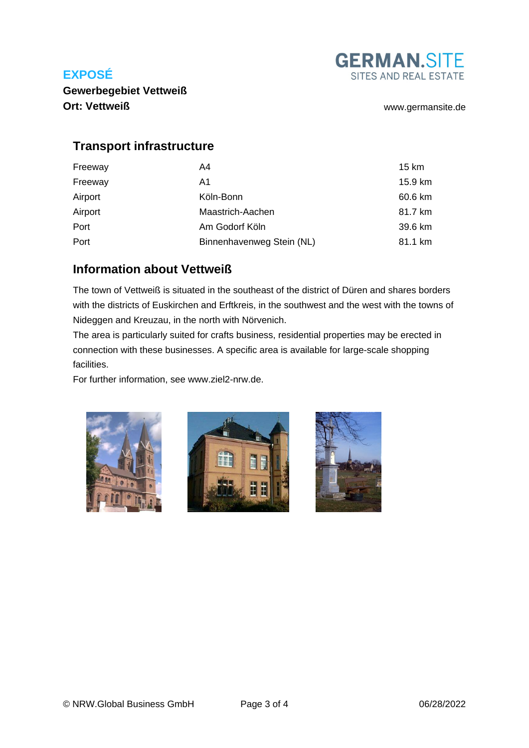

**Gewerbegebiet Vettweiß Ort: Vettweiß** [www.germansite.de](http://www.germansite.de)

## **Transport infrastructure**

| Freeway | A4                        | 15 km   |
|---------|---------------------------|---------|
| Freeway | A1                        | 15.9 km |
| Airport | Köln-Bonn                 | 60.6 km |
| Airport | Maastrich-Aachen          | 81.7 km |
| Port    | Am Godorf Köln            | 39.6 km |
| Port    | Binnenhavenweg Stein (NL) | 81.1 km |

## **Information about Vettweiß**

The town of Vettweiß is situated in the southeast of the district of Düren and shares borders with the districts of Euskirchen and Erftkreis, in the southwest and the west with the towns of Nideggen and Kreuzau, in the north with Nörvenich.

The area is particularly suited for crafts business, residential properties may be erected in connection with these businesses. A specific area is available for large-scale shopping facilities.

For further information, see www.ziel2-nrw.de.